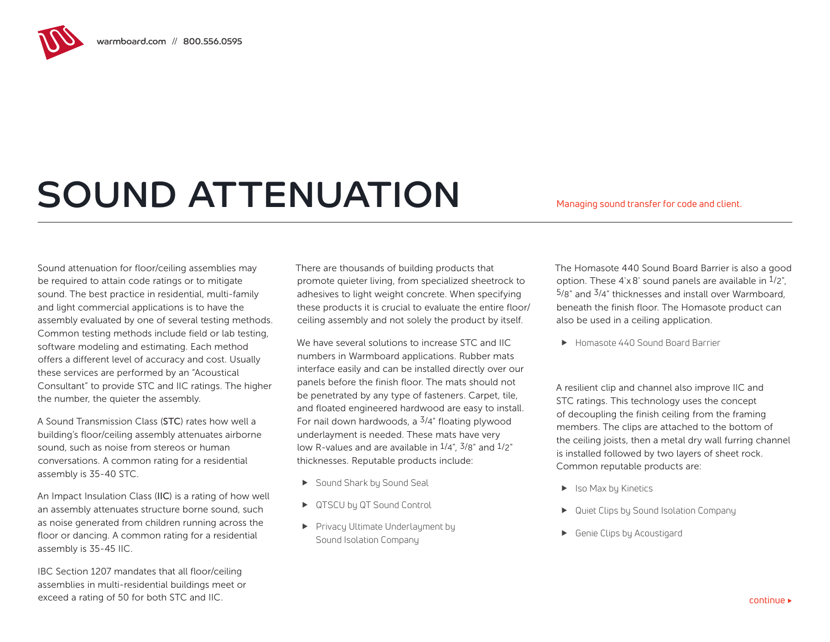## SOUND ATTENUATION Managing sound transfer for code and client.

Sound attenuation for floor/ceiling assemblies may be required to attain code ratings or to mitigate sound. The best practice in residential, multi-family and light commercial applications is to have the assembly evaluated by one of several testing methods. Common testing methods include field or lab testing, software modeling and estimating. Each method offers a different level of accuracy and cost. Usually these services are performed by an "Acoustical Consultant" to provide STC and IIC ratings. The higher the number, the quieter the assembly.

A Sound Transmission Class (STC) rates how well a building's floor/ceiling assembly attenuates airborne sound, such as noise from stereos or human conversations. A common rating for a residential assembly is 35-40 STC.

An Impact Insulation Class (IIC) is a rating of how well an assembly attenuates structure borne sound, such as noise generated from children running across the floor or dancing. A common rating for a residential assembly is 35-45 IIC.

IBC Section 1207 mandates that all floor/ceiling assemblies in multi-residential buildings meet or exceed a rating of 50 for both STC and IIC.

There are thousands of building products that promote quieter living, from specialized sheetrock to adhesives to light weight concrete. When specifying these products it is crucial to evaluate the entire floor/ ceiling assembly and not solely the product by itself.

We have several solutions to increase STC and IIC numbers in Warmboard applications. Rubber mats interface easily and can be installed directly over our panels before the finish floor. The mats should not be penetrated by any type of fasteners. Carpet, tile, and floated engineered hardwood are easy to install. For nail down hardwoods, a  $\frac{3}{4}$ " floating plywood underlayment is needed. These mats have very low R-values and are available in  $1/4$ ",  $3/8$ " and  $1/2$ " thicknesses. Reputable products include:

- ▶ Sound Shark by Sound Seal
- ▶ QTSCU by QT Sound Control
- **F** Privacy Ultimate Underlayment by Sound Isolation Company

The Homasote 440 Sound Board Barrier is also a good option. These  $4' \times 8'$  sound panels are available in  $1/2''$ , 5/8" and 3/4" thicknesses and install over Warmboard, beneath the finish floor. The Homasote product can also be used in a ceiling application.

**F** Homasote 440 Sound Board Barrier

A resilient clip and channel also improve IIC and STC ratings. This technology uses the concept of decoupling the finish ceiling from the framing members. The clips are attached to the bottom of the ceiling joists, then a metal dry wall furring channel is installed followed by two layers of sheet rock. Common reputable products are:

- $\blacktriangleright$  Iso Max by Kinetics
- Quiet Clips by Sound Isolation Company
- **F** Genie Clips by Acoustigard